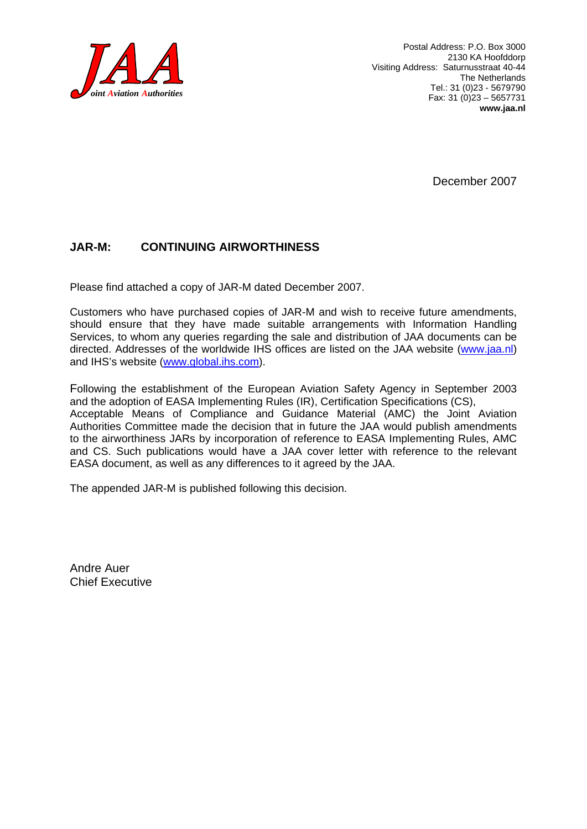

Postal Address: P.O. Box 3000 2130 KA Hoofddorp Visiting Address: Saturnusstraat 40-44 The Netherlands Tel.: 31 (0)23 - 5679790 Fax: 31 (0)23 – 5657731 **www.jaa.nl** 

December 2007

#### **JAR-M: CONTINUING AIRWORTHINESS**

Please find attached a copy of JAR-M dated December 2007.

Customers who have purchased copies of JAR-M and wish to receive future amendments, should ensure that they have made suitable arrangements with Information Handling Services, to whom any queries regarding the sale and distribution of JAA documents can be directed. Addresses of the worldwide IHS offices are listed on the JAA website ([www.jaa.nl\)](http://www.jaa.nl/) and IHS's website ([www.global.ihs.com\)](http://www.global.ihs.com/).

Following the establishment of the European Aviation Safety Agency in September 2003 and the adoption of EASA Implementing Rules (IR), Certification Specifications (CS), Acceptable Means of Compliance and Guidance Material (AMC) the Joint Aviation Authorities Committee made the decision that in future the JAA would publish amendments to the airworthiness JARs by incorporation of reference to EASA Implementing Rules, AMC and CS. Such publications would have a JAA cover letter with reference to the relevant EASA document, as well as any differences to it agreed by the JAA.

The appended JAR-M is published following this decision.

Andre Auer Chief Executive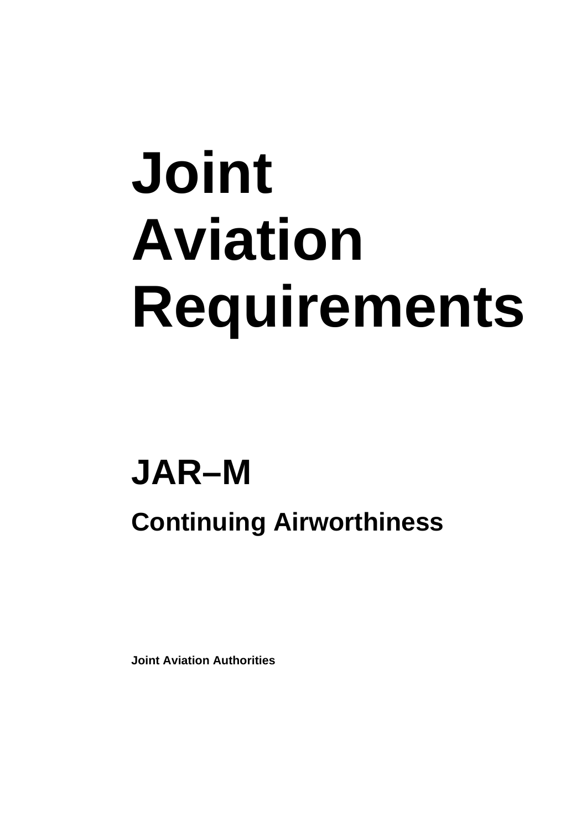# Joint **Aviation** Requirements

## **JAR-M**

### **Continuing Airworthiness**

**Joint Aviation Authorities**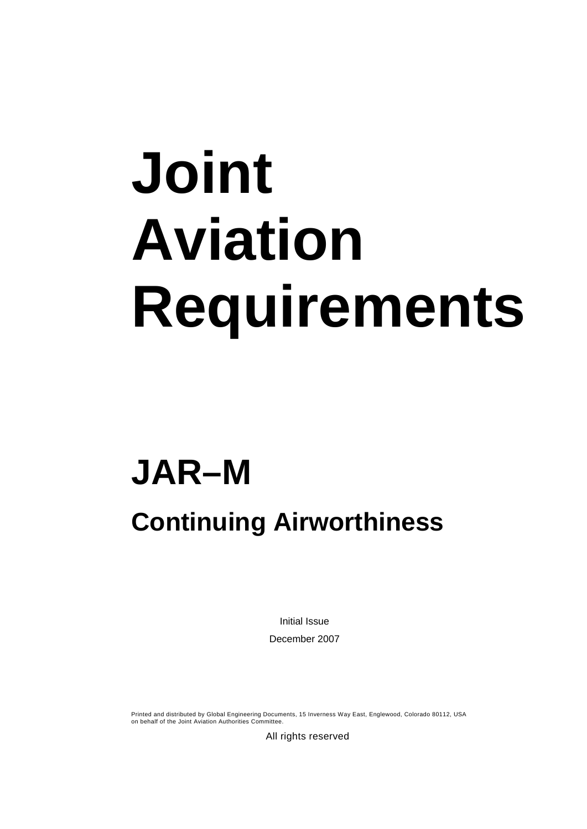# **Joint Aviation Requirements**

## **JAR–M**

### **Continuing Airworthiness**

Initial Issue December 2007

Printed and distributed by Global Engineering Documents, 15 Inverness Way East, Englewood, Colorado 80112, USA on behalf of the Joint Aviation Authorities Committee.

All rights reserved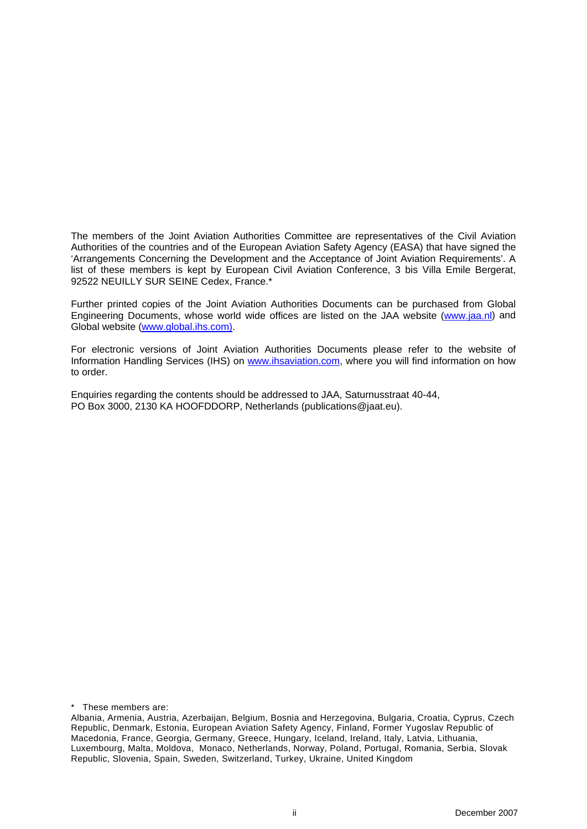The members of the Joint Aviation Authorities Committee are representatives of the Civil Aviation Authorities of the countries and of the European Aviation Safety Agency (EASA) that have signed the 'Arrangements Concerning the Development and the Acceptance of Joint Aviation Requirements'. A list of these members is kept by European Civil Aviation Conference, 3 bis Villa Emile Bergerat, 92522 NEUILLY SUR SEINE Cedex, France.\*

Further printed copies of the Joint Aviation Authorities Documents can be purchased from Global Engineering Documents, whose world wide offices are listed on the JAA website ([www.jaa.nl](http://www.jaa.nl/)) and Global website ([www.global.ihs.com\).](http://www.global.ihs.com/)

For electronic versions of Joint Aviation Authorities Documents please refer to the website of Information Handling Services (IHS) on [www.ihsaviation.com,](http://www.ihsaviation.com/) where you will find information on how to order.

Enquiries regarding the contents should be addressed to JAA, Saturnusstraat 40-44, PO Box 3000, 2130 KA HOOFDDORP, Netherlands (publications@jaat.eu).

\* These members are:

Albania, Armenia, Austria, Azerbaijan, Belgium, Bosnia and Herzegovina, Bulgaria, Croatia, Cyprus, Czech Republic, Denmark, Estonia, European Aviation Safety Agency, Finland, Former Yugoslav Republic of Macedonia, France, Georgia, Germany, Greece, Hungary, Iceland, Ireland, Italy, Latvia, Lithuania, Luxembourg, Malta, Moldova, Monaco, Netherlands, Norway, Poland, Portugal, Romania, Serbia, Slovak Republic, Slovenia, Spain, Sweden, Switzerland, Turkey, Ukraine, United Kingdom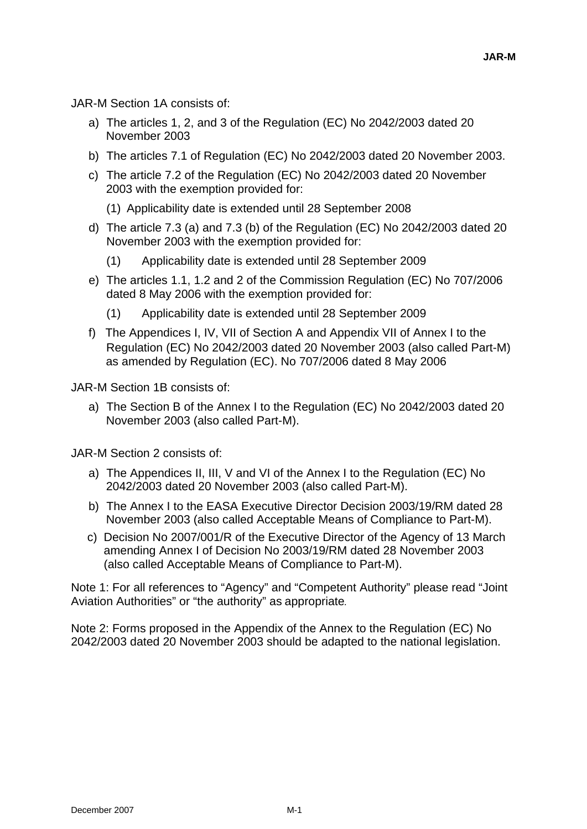JAR-M Section 1A consists of:

- a) The articles 1, 2, and 3 of the Regulation (EC) No 2042/2003 dated 20 November 2003
- b) The articles 7.1 of Regulation (EC) No 2042/2003 dated 20 November 2003.
- c) The article 7.2 of the Regulation (EC) No 2042/2003 dated 20 November 2003 with the exemption provided for:
	- (1) Applicability date is extended until 28 September 2008
- d) The article 7.3 (a) and 7.3 (b) of the Regulation (EC) No 2042/2003 dated 20 November 2003 with the exemption provided for:
	- (1) Applicability date is extended until 28 September 2009
- e) The articles 1.1, 1.2 and 2 of the Commission Regulation (EC) No 707/2006 dated 8 May 2006 with the exemption provided for:
	- (1) Applicability date is extended until 28 September 2009
- f) The Appendices I, IV, VII of Section A and Appendix VII of Annex I to the Regulation (EC) No 2042/2003 dated 20 November 2003 (also called Part-M) as amended by Regulation (EC). No 707/2006 dated 8 May 2006

JAR-M Section 1B consists of:

a) The Section B of the Annex I to the Regulation (EC) No 2042/2003 dated 20 November 2003 (also called Part-M).

JAR-M Section 2 consists of:

- a) The Appendices II, III, V and VI of the Annex I to the Regulation (EC) No 2042/2003 dated 20 November 2003 (also called Part-M).
- b) The Annex I to the EASA Executive Director Decision 2003/19/RM dated 28 November 2003 (also called Acceptable Means of Compliance to Part-M).
- c) Decision No 2007/001/R of the Executive Director of the Agency of 13 March amending Annex I of Decision No 2003/19/RM dated 28 November 2003 (also called Acceptable Means of Compliance to Part-M).

Note 1: For all references to "Agency" and "Competent Authority" please read "Joint Aviation Authorities" or "the authority" as appropriate*.*

Note 2: Forms proposed in the Appendix of the Annex to the Regulation (EC) No 2042/2003 dated 20 November 2003 should be adapted to the national legislation.